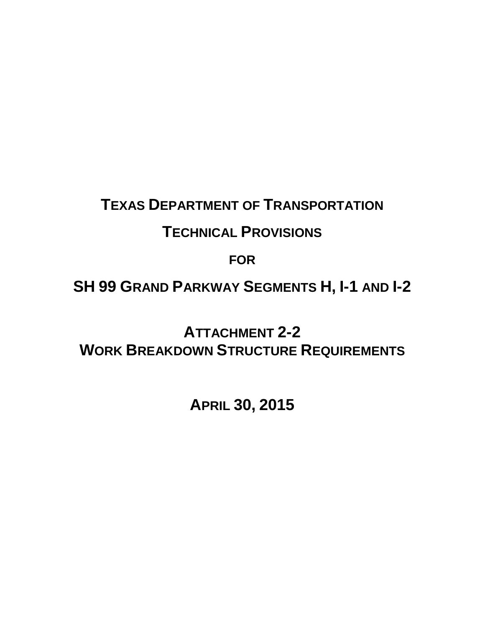# **TEXAS DEPARTMENT OF TRANSPORTATION**

# **TECHNICAL PROVISIONS**

**FOR**

**SH 99 GRAND PARKWAY SEGMENTS H, I-1 AND I-2** 

**ATTACHMENT 2-2 WORK BREAKDOWN STRUCTURE REQUIREMENTS**

**APRIL 30, 2015**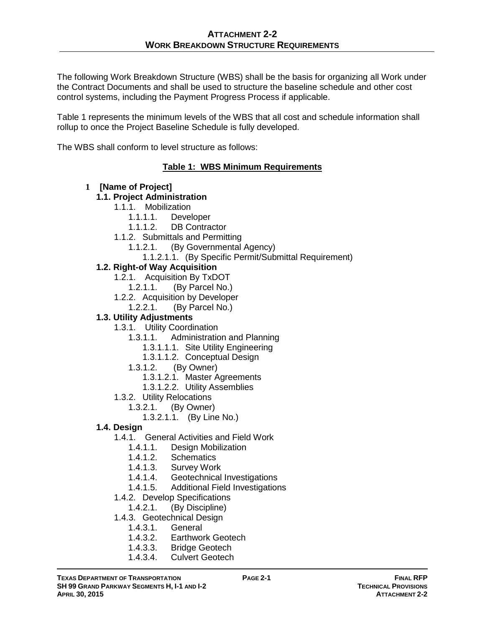The following Work Breakdown Structure (WBS) shall be the basis for organizing all Work under the Contract Documents and shall be used to structure the baseline schedule and other cost control systems, including the Payment Progress Process if applicable.

Table 1 represents the minimum levels of the WBS that all cost and schedule information shall rollup to once the Project Baseline Schedule is fully developed.

The WBS shall conform to level structure as follows:

## **Table 1: WBS Minimum Requirements**

#### **1 [Name of Project]**

### **1.1. Project Administration**

- 1.1.1. Mobilization
	- 1.1.1.1. Developer
	- 1.1.1.2. DB Contractor
- 1.1.2. Submittals and Permitting
	- 1.1.2.1. (By Governmental Agency)
		- 1.1.2.1.1. (By Specific Permit/Submittal Requirement)

### **1.2. Right-of Way Acquisition**

- 1.2.1. Acquisition By TxDOT
	- 1.2.1.1. (By Parcel No.)
- 1.2.2. Acquisition by Developer
	- 1.2.2.1. (By Parcel No.)

## **1.3. Utility Adjustments**

- 1.3.1. Utility Coordination
	- 1.3.1.1. Administration and Planning
		- 1.3.1.1.1. Site Utility Engineering
		- 1.3.1.1.2. Conceptual Design
	- 1.3.1.2. (By Owner)
		- 1.3.1.2.1. Master Agreements
		- 1.3.1.2.2. Utility Assemblies
- 1.3.2. Utility Relocations
	- 1.3.2.1. (By Owner)
		- 1.3.2.1.1. (By Line No.)
- **1.4. Design**
	- 1.4.1. General Activities and Field Work
		- 1.4.1.1. Design Mobilization
		- 1.4.1.2. Schematics
		- 1.4.1.3. Survey Work
		- 1.4.1.4. Geotechnical Investigations
		- 1.4.1.5. Additional Field Investigations
	- 1.4.2. Develop Specifications
	- 1.4.2.1. (By Discipline)
	- 1.4.3. Geotechnical Design
		- 1.4.3.1. General
		- 1.4.3.2. Earthwork Geotech<br>1.4.3.3. Bridge Geotech
		- **Bridge Geotech**
		- 1.4.3.4. Culvert Geotech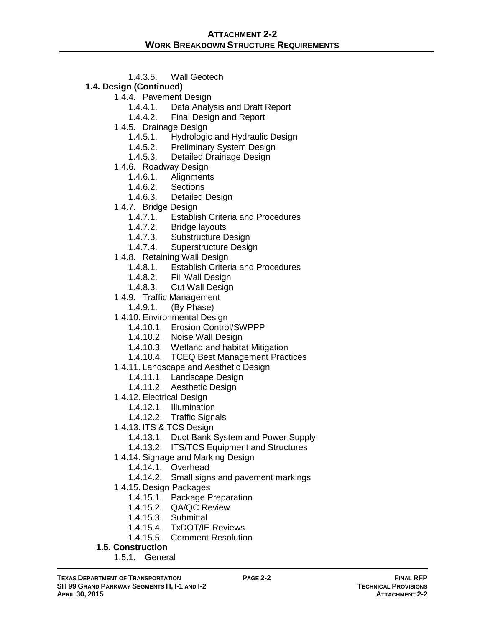1.4.3.5. Wall Geotech

## **1.4. Design (Continued)**

- 1.4.4. Pavement Design
	- 1.4.4.1. Data Analysis and Draft Report
	- 1.4.4.2. Final Design and Report
- 1.4.5. Drainage Design
	- 1.4.5.1. Hydrologic and Hydraulic Design
	- 1.4.5.2. Preliminary System Design
	- 1.4.5.3. Detailed Drainage Design
- 1.4.6. Roadway Design
	- 1.4.6.1. Alignments
	- 1.4.6.2. Sections
	- 1.4.6.3. Detailed Design
- 1.4.7. Bridge Design
	- 1.4.7.1. Establish Criteria and Procedures<br>1.4.7.2. Bridge layouts
	- 1.4.7.2. Bridge layouts<br>1.4.7.3. Substructure D
	- 1.4.7.3. Substructure Design<br>1.4.7.4. Superstructure Design
	- Superstructure Design
- 1.4.8. Retaining Wall Design
	- 1.4.8.1. Establish Criteria and Procedures
	- 1.4.8.2. Fill Wall Design
	- 1.4.8.3. Cut Wall Design
- 1.4.9. Traffic Management
	- 1.4.9.1. (By Phase)
- 1.4.10. Environmental Design
	- 1.4.10.1. Erosion Control/SWPPP
	- 1.4.10.2. Noise Wall Design
	- 1.4.10.3. Wetland and habitat Mitigation
	- 1.4.10.4. TCEQ Best Management Practices
- 1.4.11. Landscape and Aesthetic Design
	- 1.4.11.1. Landscape Design
	- 1.4.11.2. Aesthetic Design
- 1.4.12. Electrical Design
	- 1.4.12.1. Illumination
	- 1.4.12.2. Traffic Signals
- 1.4.13. ITS & TCS Design
	- 1.4.13.1. Duct Bank System and Power Supply
	- 1.4.13.2. ITS/TCS Equipment and Structures
- 1.4.14. Signage and Marking Design
	- 1.4.14.1. Overhead
	- 1.4.14.2. Small signs and pavement markings
- 1.4.15. Design Packages
	- 1.4.15.1. Package Preparation
	- 1.4.15.2. QA/QC Review
	- 1.4.15.3. Submittal
	- 1.4.15.4. TxDOT/IE Reviews
	- 1.4.15.5. Comment Resolution
- **1.5. Construction**
	- 1.5.1. General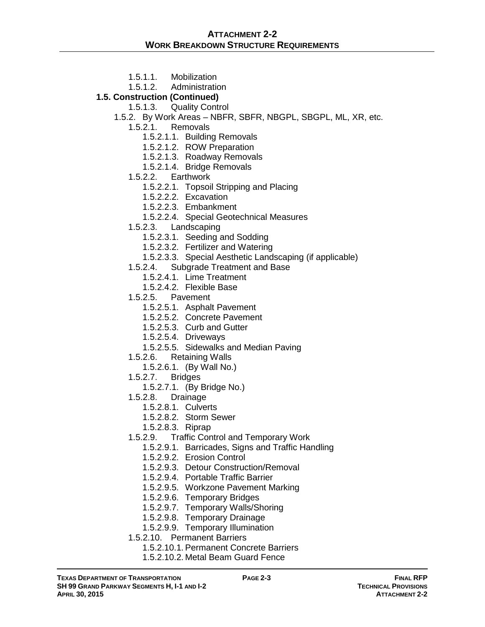- 
- 1.5.1.1. Mobilization<br>1.5.1.2. Administration **Administration**

## **1.5. Construction (Continued)**

- 1.5.1.3. Quality Control
- 1.5.2. By Work Areas NBFR, SBFR, NBGPL, SBGPL, ML, XR, etc.
	- 1.5.2.1. Removals
		- 1.5.2.1.1. Building Removals
		- 1.5.2.1.2. ROW Preparation
		- 1.5.2.1.3. Roadway Removals
		- 1.5.2.1.4. Bridge Removals
	- 1.5.2.2. Earthwork
		- 1.5.2.2.1. Topsoil Stripping and Placing
		- 1.5.2.2.2. Excavation
		- 1.5.2.2.3. Embankment
		- 1.5.2.2.4. Special Geotechnical Measures
	- 1.5.2.3. Landscaping
		- 1.5.2.3.1. Seeding and Sodding
		- 1.5.2.3.2. Fertilizer and Watering
		- 1.5.2.3.3. Special Aesthetic Landscaping (if applicable)
	- 1.5.2.4. Subgrade Treatment and Base
		- 1.5.2.4.1. Lime Treatment
		- 1.5.2.4.2. Flexible Base
	- 1.5.2.5. Pavement
		- 1.5.2.5.1. Asphalt Pavement
		- 1.5.2.5.2. Concrete Pavement
		- 1.5.2.5.3. Curb and Gutter
		- 1.5.2.5.4. Driveways
		- 1.5.2.5.5. Sidewalks and Median Paving
	- 1.5.2.6. Retaining Walls
		- 1.5.2.6.1. (By Wall No.)
	- 1.5.2.7. Bridges
		- 1.5.2.7.1. (By Bridge No.)
	- 1.5.2.8. Drainage
		- 1.5.2.8.1. Culverts
		- 1.5.2.8.2. Storm Sewer
		- 1.5.2.8.3. Riprap
	- 1.5.2.9. Traffic Control and Temporary Work
		- 1.5.2.9.1. Barricades, Signs and Traffic Handling
		- 1.5.2.9.2. Erosion Control
		- 1.5.2.9.3. Detour Construction/Removal
		- 1.5.2.9.4. Portable Traffic Barrier
		- 1.5.2.9.5. Workzone Pavement Marking
		- 1.5.2.9.6. Temporary Bridges
		- 1.5.2.9.7. Temporary Walls/Shoring
		- 1.5.2.9.8. Temporary Drainage
		- 1.5.2.9.9. Temporary Illumination
	- 1.5.2.10. Permanent Barriers
		- 1.5.2.10.1. Permanent Concrete Barriers
			- 1.5.2.10.2. Metal Beam Guard Fence